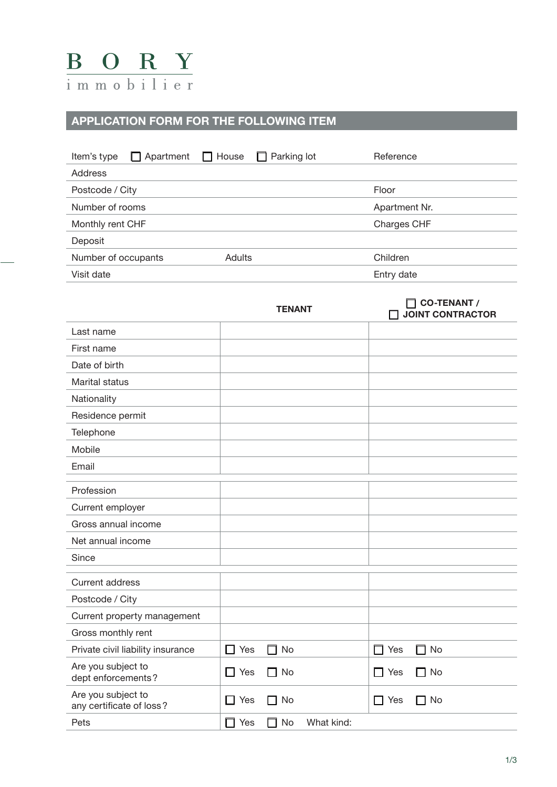

## **APPLICATION FORM FOR THE FOLLOWING ITEM**

| $\Box$ Apartment $\Box$ House<br>Item's type |               | $\Box$ Parking lot | Reference     |
|----------------------------------------------|---------------|--------------------|---------------|
| <b>Address</b>                               |               |                    |               |
| Postcode / City                              |               |                    | Floor         |
| Number of rooms                              |               |                    | Apartment Nr. |
| Monthly rent CHF                             |               |                    | Charges CHF   |
| Deposit                                      |               |                    |               |
| Number of occupants                          | <b>Adults</b> |                    | Children      |
| Visit date                                   |               |                    | Entry date    |

|                                                | <b>TENANT</b>                     | <b>CO-TENANT /</b><br><b>JOINT CONTRACTOR</b> |
|------------------------------------------------|-----------------------------------|-----------------------------------------------|
| Last name                                      |                                   |                                               |
| First name                                     |                                   |                                               |
| Date of birth                                  |                                   |                                               |
| Marital status                                 |                                   |                                               |
| Nationality                                    |                                   |                                               |
| Residence permit                               |                                   |                                               |
| Telephone                                      |                                   |                                               |
| Mobile                                         |                                   |                                               |
| Email                                          |                                   |                                               |
| Profession                                     |                                   |                                               |
| Current employer                               |                                   |                                               |
| Gross annual income                            |                                   |                                               |
| Net annual income                              |                                   |                                               |
| Since                                          |                                   |                                               |
| <b>Current address</b>                         |                                   |                                               |
| Postcode / City                                |                                   |                                               |
| Current property management                    |                                   |                                               |
| Gross monthly rent                             |                                   |                                               |
| Private civil liability insurance              | $\Box$ Yes<br>No<br>П             | Yes<br>No<br>П<br>$\Box$                      |
| Are you subject to<br>dept enforcements?       | $\Box$ Yes<br>$\Box$ No           | $\Box$ No<br>$\Box$ Yes                       |
| Are you subject to<br>any certificate of loss? | Yes<br>No<br>ΙI<br>П              | $\Box$ Yes<br>$\Box$ No                       |
| Pets                                           | Yes<br>No<br>What kind:<br>П<br>П |                                               |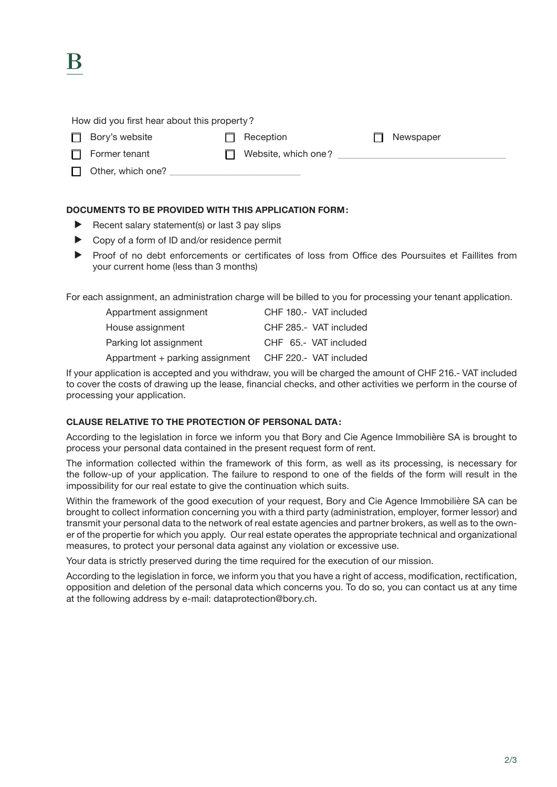## How did you first hear about this property?

component control Bory's website c Reception c Reception c Reception c Newspaper

K

- $\Box$  Former tenant  $\Box$  Website, which one?
- $\Box$  Other, which one?
- 

## **DOCUMENTS TO BE PROVIDED WITH THIS APPLICATION FORM:**

- $\blacktriangleright$  Recent salary statement(s) or last 3 pay slips
- $\triangleright$  Copy of a form of ID and/or residence permit
- **EXECUTE:** Proof of no debt enforcements or certificates of loss from Office des Poursuites et Faillites from your current home (less than 3 months)

For each assignment, an administration charge will be billed to you for processing your tenant application.

| Appartment assignment           | CHF 180 .- VAT included |
|---------------------------------|-------------------------|
| House assignment                | CHF 285.- VAT included  |
| Parking lot assignment          | CHF 65.- VAT included   |
| Appartment + parking assignment | CHF 220.- VAT included  |

If your application is accepted and you withdraw, you will be charged the amount of CHF 216.- VAT included to cover the costs of drawing up the lease, financial checks, and other activities we perform in the course of processing your application.

## **CLAUSE RELATIVE TO THE PROTECTION OF PERSONAL DATA:**

According to the legislation in force we inform you that Bory and Cie Agence Immobilière SA is brought to process your personal data contained in the present request form of rent.

The information collected within the framework of this form, as well as its processing, is necessary for the follow-up of your application. The failure to respond to one of the fields of the form will result in the impossibility for our real estate to give the continuation which suits.

Within the framework of the good execution of your request, Bory and Cie Agence Immobilière SA can be brought to collect information concerning you with a third party (administration, employer, former lessor) and transmit your personal data to the network of real estate agencies and partner brokers, as well as to the owner of the propertie for which you apply. Our real estate operates the appropriate technical and organizational measures, to protect your personal data against any violation or excessive use.

Your data is strictly preserved during the time required for the execution of our mission.

According to the legislation in force, we inform you that you have a right of access, modification, rectification, opposition and deletion of the personal data which concerns you. To do so, you can contact us at any time at the following address by e-mail: dataprotection@bory.ch.